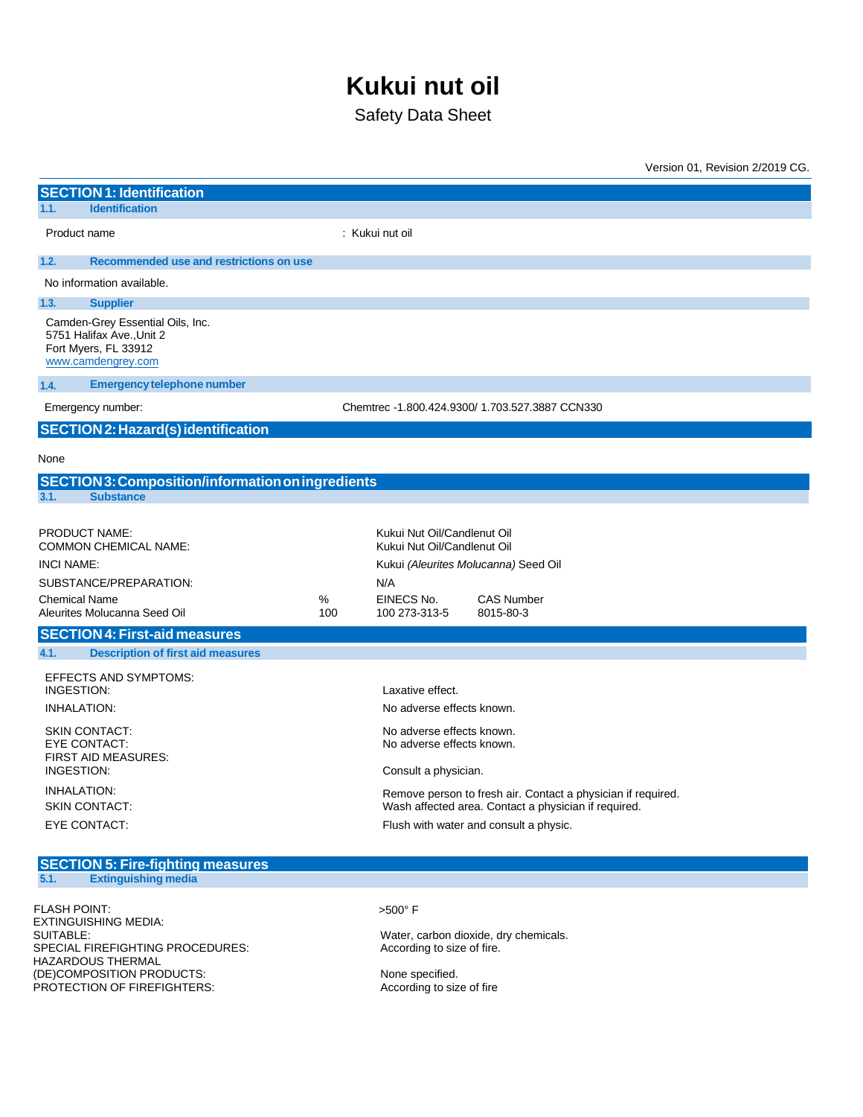# **Kukui nut oil**

Safety Data Sheet

|                                                                                                             |                                                  |          |                                                                                                    |                                                                                                                                                                | Version 01, Revision 2/2019 CG. |
|-------------------------------------------------------------------------------------------------------------|--------------------------------------------------|----------|----------------------------------------------------------------------------------------------------|----------------------------------------------------------------------------------------------------------------------------------------------------------------|---------------------------------|
| <b>SECTION 1: Identification</b>                                                                            |                                                  |          |                                                                                                    |                                                                                                                                                                |                                 |
| 1.1.<br><b>Identification</b>                                                                               |                                                  |          |                                                                                                    |                                                                                                                                                                |                                 |
| Product name                                                                                                |                                                  |          | : Kukui nut oil                                                                                    |                                                                                                                                                                |                                 |
| 1.2.                                                                                                        | Recommended use and restrictions on use          |          |                                                                                                    |                                                                                                                                                                |                                 |
| No information available.                                                                                   |                                                  |          |                                                                                                    |                                                                                                                                                                |                                 |
| <b>Supplier</b><br>1.3.                                                                                     |                                                  |          |                                                                                                    |                                                                                                                                                                |                                 |
| Camden-Grey Essential Oils, Inc.<br>5751 Halifax Ave., Unit 2<br>Fort Myers, FL 33912<br>www.camdengrey.com |                                                  |          |                                                                                                    |                                                                                                                                                                |                                 |
| 1.4.                                                                                                        | <b>Emergency telephone number</b>                |          |                                                                                                    |                                                                                                                                                                |                                 |
| Emergency number:                                                                                           |                                                  |          |                                                                                                    | Chemtrec -1.800.424.9300/ 1.703.527.3887 CCN330                                                                                                                |                                 |
| <b>SECTION 2: Hazard(s) identification</b>                                                                  |                                                  |          |                                                                                                    |                                                                                                                                                                |                                 |
| None                                                                                                        |                                                  |          |                                                                                                    |                                                                                                                                                                |                                 |
|                                                                                                             | SECTION3: Composition/information on ingredients |          |                                                                                                    |                                                                                                                                                                |                                 |
| 3.1.<br><b>Substance</b>                                                                                    |                                                  |          |                                                                                                    |                                                                                                                                                                |                                 |
| <b>PRODUCT NAME:</b><br><b>COMMON CHEMICAL NAME:</b><br><b>INCI NAME:</b>                                   |                                                  |          | Kukui Nut Oil/Candlenut Oil<br>Kukui Nut Oil/Candlenut Oil<br>Kukui (Aleurites Molucanna) Seed Oil |                                                                                                                                                                |                                 |
| SUBSTANCE/PREPARATION:<br><b>Chemical Name</b><br>Aleurites Molucanna Seed Oil                              |                                                  | %<br>100 | N/A<br>EINECS No.<br>100 273-313-5                                                                 | <b>CAS Number</b><br>8015-80-3                                                                                                                                 |                                 |
| <b>SECTION 4: First-aid measures</b>                                                                        |                                                  |          |                                                                                                    |                                                                                                                                                                |                                 |
| 4.1.                                                                                                        | <b>Description of first aid measures</b>         |          |                                                                                                    |                                                                                                                                                                |                                 |
| EFFECTS AND SYMPTOMS:<br>INGESTION:<br><b>INHALATION:</b>                                                   |                                                  |          | Laxative effect.<br>No adverse effects known.                                                      |                                                                                                                                                                |                                 |
| <b>SKIN CONTACT:</b><br><b>EYE CONTACT:</b><br><b>FIRST AID MEASURES:</b><br><b>INGESTION:</b>              |                                                  |          | No adverse effects known.<br>No adverse effects known.<br>Consult a physician.                     |                                                                                                                                                                |                                 |
| <b>INHALATION:</b><br><b>SKIN CONTACT:</b><br><b>EYE CONTACT:</b>                                           |                                                  |          |                                                                                                    | Remove person to fresh air. Contact a physician if required.<br>Wash affected area. Contact a physician if required.<br>Flush with water and consult a physic. |                                 |

#### **SECTION 5: Fire-fighting measures 5.1. Extinguishing media**

FLASH POINT:  $>500^{\circ}$  F EXTINGUISHING MEDIA:<br>SUITABLE: SPECIAL FIREFIGHTING PROCEDURES: HAZARDOUS THERMAL (DE)COMPOSITION PRODUCTS:<br>
PROTECTION OF FIREFIGHTERS: None specified.<br>
According to size of fire PROTECTION OF FIREFIGHTERS:

Water, carbon dioxide, dry chemicals.<br>According to size of fire.